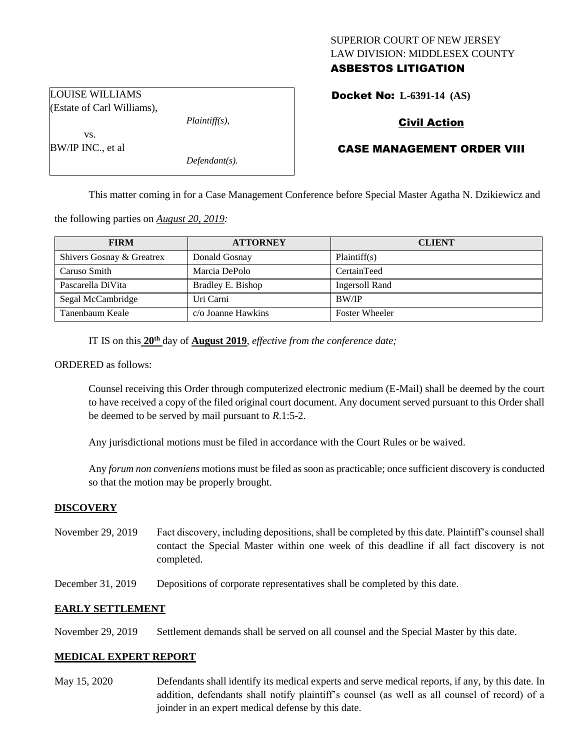# SUPERIOR COURT OF NEW JERSEY LAW DIVISION: MIDDLESEX COUNTY ASBESTOS LITIGATION

Docket No: **L-6391-14 (AS)** 

# Civil Action

# CASE MANAGEMENT ORDER VIII

This matter coming in for a Case Management Conference before Special Master Agatha N. Dzikiewicz and

the following parties on *August 20, 2019:*

| <b>FIRM</b>               | <b>ATTORNEY</b>           | <b>CLIENT</b>         |
|---------------------------|---------------------------|-----------------------|
| Shivers Gosnay & Greatrex | Donald Gosnay             | Plaintiff(s)          |
| Caruso Smith              | Marcia DePolo             | CertainTeed           |
| Pascarella DiVita         | Bradley E. Bishop         | Ingersoll Rand        |
| Segal McCambridge         | Uri Carni                 | <b>BW/IP</b>          |
| Tanenbaum Keale           | $c/\sigma$ Joanne Hawkins | <b>Foster Wheeler</b> |

IT IS on this  $20^{\text{th}}$  day of **August 2019**, *effective from the conference date*;

ORDERED as follows:

Counsel receiving this Order through computerized electronic medium (E-Mail) shall be deemed by the court to have received a copy of the filed original court document. Any document served pursuant to this Order shall be deemed to be served by mail pursuant to *R*.1:5-2.

Any jurisdictional motions must be filed in accordance with the Court Rules or be waived.

Any *forum non conveniens* motions must be filed as soon as practicable; once sufficient discovery is conducted so that the motion may be properly brought.

## **DISCOVERY**

- November 29, 2019 Fact discovery, including depositions, shall be completed by this date. Plaintiff's counsel shall contact the Special Master within one week of this deadline if all fact discovery is not completed.
- December 31, 2019 Depositions of corporate representatives shall be completed by this date.

## **EARLY SETTLEMENT**

November 29, 2019 Settlement demands shall be served on all counsel and the Special Master by this date.

## **MEDICAL EXPERT REPORT**

May 15, 2020 Defendants shall identify its medical experts and serve medical reports, if any, by this date. In addition, defendants shall notify plaintiff's counsel (as well as all counsel of record) of a joinder in an expert medical defense by this date.

LOUISE WILLIAMS (Estate of Carl Williams),

vs. BW/IP INC., et al *Plaintiff(s),*

*Defendant(s).*